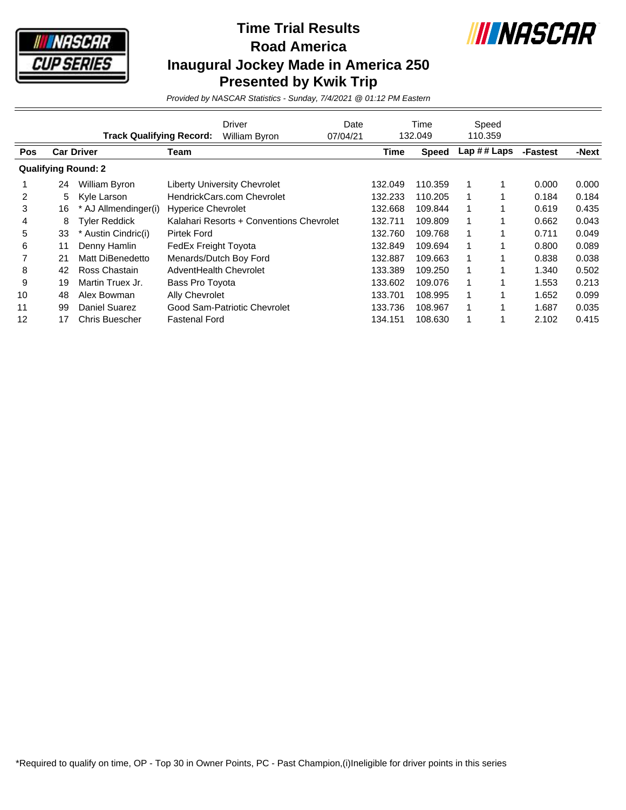

## **Time Trial Results Road America Inaugural Jockey Made in America 250 Presented by Kwik Trip**



*Provided by NASCAR Statistics - Sunday, 7/4/2021 @ 01:12 PM Eastern*

|                            |    | <b>Track Qualifying Record:</b> |                             | Driver<br>William Byron                  | Date<br>07/04/21 |         | Time<br>132.049 |   | Speed<br>110.359 |          |       |
|----------------------------|----|---------------------------------|-----------------------------|------------------------------------------|------------------|---------|-----------------|---|------------------|----------|-------|
| Pos                        |    | <b>Car Driver</b>               | Team                        |                                          |                  | Time    | <b>Speed</b>    |   | Lap ## Laps      | -Fastest | -Next |
| <b>Qualifying Round: 2</b> |    |                                 |                             |                                          |                  |         |                 |   |                  |          |       |
|                            | 24 | William Byron                   |                             | <b>Liberty University Chevrolet</b>      |                  | 132.049 | 110.359         |   |                  | 0.000    | 0.000 |
| 2                          | 5  | Kyle Larson                     |                             | HendrickCars.com Chevrolet               |                  | 132.233 | 110.205         | 1 |                  | 0.184    | 0.184 |
| 3                          | 16 | * AJ Allmendinger(i)            | <b>Hyperice Chevrolet</b>   |                                          |                  | 132.668 | 109.844         | 1 |                  | 0.619    | 0.435 |
| 4                          | 8  | <b>Tyler Reddick</b>            |                             | Kalahari Resorts + Conventions Chevrolet |                  | 132.711 | 109.809         | 1 |                  | 0.662    | 0.043 |
| 5                          | 33 | Austin Cindric(i)               | <b>Pirtek Ford</b>          |                                          |                  | 132.760 | 109.768         | 1 |                  | 0.711    | 0.049 |
| 6                          | 11 | Denny Hamlin                    | <b>FedEx Freight Toyota</b> |                                          |                  | 132.849 | 109.694         | 1 |                  | 0.800    | 0.089 |
|                            | 21 | Matt DiBenedetto                |                             | Menards/Dutch Boy Ford                   |                  | 132.887 | 109.663         | 1 |                  | 0.838    | 0.038 |
| 8                          | 42 | Ross Chastain                   | AdventHealth Chevrolet      |                                          |                  | 133.389 | 109.250         | 1 |                  | 1.340    | 0.502 |
| 9                          | 19 | Martin Truex Jr.                | Bass Pro Toyota             |                                          |                  | 133.602 | 109.076         | 1 |                  | 1.553    | 0.213 |
| 10                         | 48 | Alex Bowman                     | Ally Chevrolet              |                                          |                  | 133.701 | 108.995         | 1 |                  | 1.652    | 0.099 |
| 11                         | 99 | <b>Daniel Suarez</b>            |                             | Good Sam-Patriotic Chevrolet             |                  | 133.736 | 108.967         | 1 |                  | 1.687    | 0.035 |
| 12                         | 17 | <b>Chris Buescher</b>           | <b>Fastenal Ford</b>        |                                          |                  | 134.151 | 108.630         |   |                  | 2.102    | 0.415 |